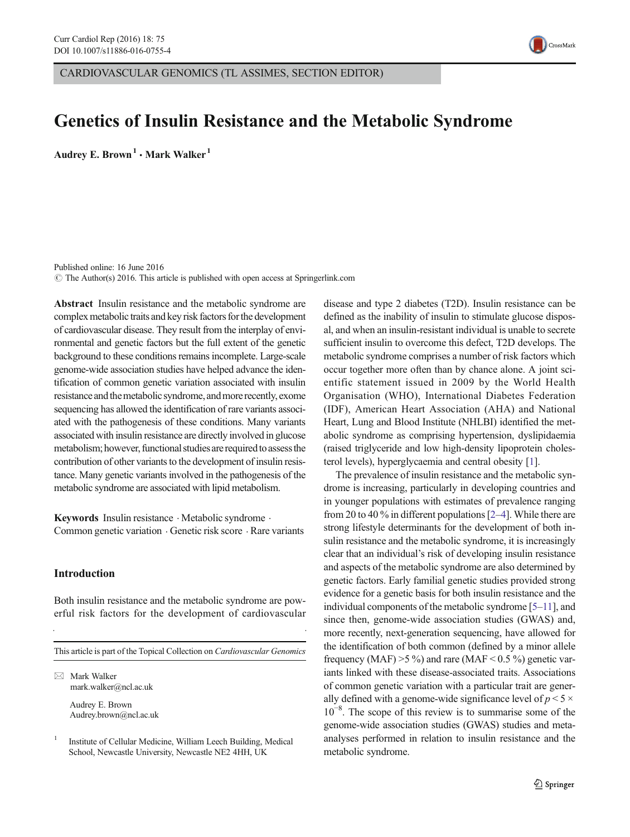

CARDIOVASCULAR GENOMICS (TL ASSIMES, SECTION EDITOR)

# Genetics of Insulin Resistance and the Metabolic Syndrome

Audrey E. Brown<sup>1</sup>  $\cdot$  Mark Walker<sup>1</sup>

Published online: 16 June 2016  $\odot$  The Author(s) 2016. This article is published with open access at Springerlink.com

Abstract Insulin resistance and the metabolic syndrome are complex metabolic traits and key risk factors for the development of cardiovascular disease. They result from the interplay of environmental and genetic factors but the full extent of the genetic background to these conditions remains incomplete. Large-scale genome-wide association studies have helped advance the identification of common genetic variation associated with insulin resistance and the metabolic syndrome, and more recently, exome sequencing has allowed the identification of rare variants associated with the pathogenesis of these conditions. Many variants associated with insulin resistance are directly involved in glucose metabolism; however, functional studies are required to assess the contribution of other variants to the development of insulin resistance. Many genetic variants involved in the pathogenesis of the metabolic syndrome are associated with lipid metabolism.

Keywords Insulin resistance · Metabolic syndrome · Common genetic variation . Genetic risk score . Rare variants

# Introduction

Both insulin resistance and the metabolic syndrome are powerful risk factors for the development of cardiovascular

This article is part of the Topical Collection on Cardiovascular Genomics

 $\boxtimes$  Mark Walker mark.walker@ncl.ac.uk

> Audrey E. Brown Audrey.brown@ncl.ac.uk

<sup>1</sup> Institute of Cellular Medicine, William Leech Building, Medical School, Newcastle University, Newcastle NE2 4HH, UK

disease and type 2 diabetes (T2D). Insulin resistance can be defined as the inability of insulin to stimulate glucose disposal, and when an insulin-resistant individual is unable to secrete sufficient insulin to overcome this defect, T2D develops. The metabolic syndrome comprises a number of risk factors which occur together more often than by chance alone. A joint scientific statement issued in 2009 by the World Health Organisation (WHO), International Diabetes Federation (IDF), American Heart Association (AHA) and National Heart, Lung and Blood Institute (NHLBI) identified the metabolic syndrome as comprising hypertension, dyslipidaemia (raised triglyceride and low high-density lipoprotein cholesterol levels), hyperglycaemia and central obesity [\[1](#page-5-0)].

The prevalence of insulin resistance and the metabolic syndrome is increasing, particularly in developing countries and in younger populations with estimates of prevalence ranging from 20 to 40 % in different populations [[2](#page-5-0)–[4](#page-5-0)]. While there are strong lifestyle determinants for the development of both insulin resistance and the metabolic syndrome, it is increasingly clear that an individual's risk of developing insulin resistance and aspects of the metabolic syndrome are also determined by genetic factors. Early familial genetic studies provided strong evidence for a genetic basis for both insulin resistance and the individual components of the metabolic syndrome [\[5](#page-5-0)–[11\]](#page-5-0), and since then, genome-wide association studies (GWAS) and, more recently, next-generation sequencing, have allowed for the identification of both common (defined by a minor allele frequency (MAF)  $>5\%$ ) and rare (MAF < 0.5 %) genetic variants linked with these disease-associated traits. Associations of common genetic variation with a particular trait are generally defined with a genome-wide significance level of  $p < 5 \times$ 10−<sup>8</sup> . The scope of this review is to summarise some of the genome-wide association studies (GWAS) studies and metaanalyses performed in relation to insulin resistance and the metabolic syndrome.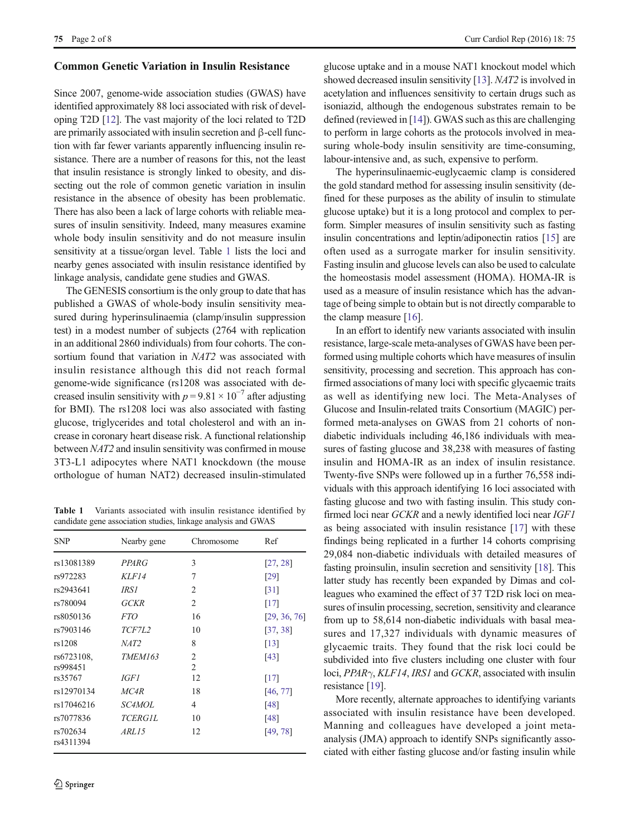#### Common Genetic Variation in Insulin Resistance

Since 2007, genome-wide association studies (GWAS) have identified approximately 88 loci associated with risk of developing T2D [[12\]](#page-6-0). The vast majority of the loci related to T2D are primarily associated with insulin secretion and β-cell function with far fewer variants apparently influencing insulin resistance. There are a number of reasons for this, not the least that insulin resistance is strongly linked to obesity, and dissecting out the role of common genetic variation in insulin resistance in the absence of obesity has been problematic. There has also been a lack of large cohorts with reliable measures of insulin sensitivity. Indeed, many measures examine whole body insulin sensitivity and do not measure insulin sensitivity at a tissue/organ level. Table 1 lists the loci and nearby genes associated with insulin resistance identified by linkage analysis, candidate gene studies and GWAS.

The GENESIS consortium is the only group to date that has published a GWAS of whole-body insulin sensitivity measured during hyperinsulinaemia (clamp/insulin suppression test) in a modest number of subjects (2764 with replication in an additional 2860 individuals) from four cohorts. The consortium found that variation in NAT2 was associated with insulin resistance although this did not reach formal genome-wide significance (rs1208 was associated with decreased insulin sensitivity with  $p = 9.81 \times 10^{-7}$  after adjusting for BMI). The rs1208 loci was also associated with fasting glucose, triglycerides and total cholesterol and with an increase in coronary heart disease risk. A functional relationship between NAT2 and insulin sensitivity was confirmed in mouse 3T3-L1 adipocytes where NAT1 knockdown (the mouse orthologue of human NAT2) decreased insulin-stimulated

Table 1 Variants associated with insulin resistance identified by candidate gene association studies, linkage analysis and GWAS

| <b>SNP</b>             | Nearby gene    | Chromosome                       | Ref                |
|------------------------|----------------|----------------------------------|--------------------|
| rs13081389             | <b>PPARG</b>   | 3                                | [27, 28]           |
| rs972283               | KLF14          | 7                                | [29]               |
| rs2943641              | IRS 1          | $\mathfrak{D}$                   | $\lceil 31 \rceil$ |
| rs780094               | <b>GCKR</b>    | $\overline{2}$                   | [17]               |
| rs8050136              | <i>FTO</i>     | 16                               | [29, 36, 76]       |
| rs7903146              | TCF7L2         | 10                               | [37, 38]           |
| rs1208                 | NAT2           | 8                                | $\lceil 13 \rceil$ |
| rs6723108,<br>rs998451 | <b>TMEM163</b> | $\overline{2}$<br>$\overline{2}$ | [43]               |
| rs35767                | IGF1           | 12                               | [17]               |
| rs12970134             | MC4R           | 18                               | [46, 77]           |
| rs17046216             | <i>SC4MOL</i>  | 4                                | [48]               |
| rs7077836              | <b>TCERGIL</b> | 10                               | [48]               |
| rs702634<br>rs4311394  | <i>ARL15</i>   | 12                               | [49, 78]           |

glucose uptake and in a mouse NAT1 knockout model which showed decreased insulin sensitivity [[13](#page-6-0)]. NAT2 is involved in acetylation and influences sensitivity to certain drugs such as isoniazid, although the endogenous substrates remain to be defined (reviewed in [\[14\]](#page-6-0)). GWAS such as this are challenging to perform in large cohorts as the protocols involved in measuring whole-body insulin sensitivity are time-consuming, labour-intensive and, as such, expensive to perform.

The hyperinsulinaemic-euglycaemic clamp is considered the gold standard method for assessing insulin sensitivity (defined for these purposes as the ability of insulin to stimulate glucose uptake) but it is a long protocol and complex to perform. Simpler measures of insulin sensitivity such as fasting insulin concentrations and leptin/adiponectin ratios [[15\]](#page-6-0) are often used as a surrogate marker for insulin sensitivity. Fasting insulin and glucose levels can also be used to calculate the homeostasis model assessment (HOMA). HOMA-IR is used as a measure of insulin resistance which has the advantage of being simple to obtain but is not directly comparable to the clamp measure [[16\]](#page-6-0).

In an effort to identify new variants associated with insulin resistance, large-scale meta-analyses of GWAS have been performed using multiple cohorts which have measures of insulin sensitivity, processing and secretion. This approach has confirmed associations of many loci with specific glycaemic traits as well as identifying new loci. The Meta-Analyses of Glucose and Insulin-related traits Consortium (MAGIC) performed meta-analyses on GWAS from 21 cohorts of nondiabetic individuals including 46,186 individuals with measures of fasting glucose and 38,238 with measures of fasting insulin and HOMA-IR as an index of insulin resistance. Twenty-five SNPs were followed up in a further 76,558 individuals with this approach identifying 16 loci associated with fasting glucose and two with fasting insulin. This study confirmed loci near GCKR and a newly identified loci near IGF1 as being associated with insulin resistance [[17\]](#page-6-0) with these findings being replicated in a further 14 cohorts comprising 29,084 non-diabetic individuals with detailed measures of fasting proinsulin, insulin secretion and sensitivity [[18\]](#page-6-0). This latter study has recently been expanded by Dimas and colleagues who examined the effect of 37 T2D risk loci on measures of insulin processing, secretion, sensitivity and clearance from up to 58,614 non-diabetic individuals with basal measures and 17,327 individuals with dynamic measures of glycaemic traits. They found that the risk loci could be subdivided into five clusters including one cluster with four loci, PPARγ, KLF14, IRS1 and GCKR, associated with insulin resistance [[19\]](#page-6-0).

More recently, alternate approaches to identifying variants associated with insulin resistance have been developed. Manning and colleagues have developed a joint metaanalysis (JMA) approach to identify SNPs significantly associated with either fasting glucose and/or fasting insulin while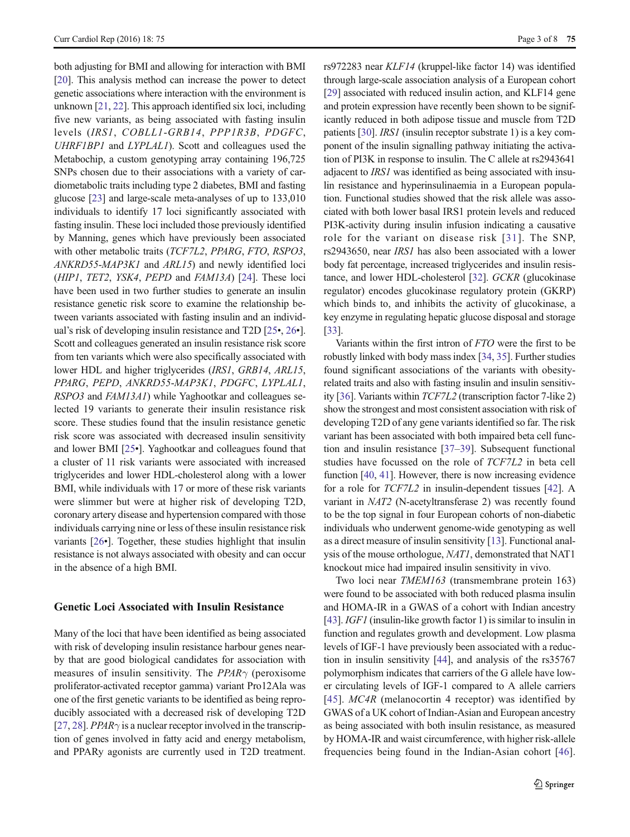both adjusting for BMI and allowing for interaction with BMI [\[20\]](#page-6-0). This analysis method can increase the power to detect genetic associations where interaction with the environment is unknown [[21,](#page-6-0) [22\]](#page-6-0). This approach identified six loci, including five new variants, as being associated with fasting insulin levels (IRS1, COBLL1-GRB14, PPP1R3B, PDGFC, UHRF1BP1 and LYPLAL1). Scott and colleagues used the Metabochip, a custom genotyping array containing 196,725 SNPs chosen due to their associations with a variety of cardiometabolic traits including type 2 diabetes, BMI and fasting glucose [[23\]](#page-6-0) and large-scale meta-analyses of up to 133,010 individuals to identify 17 loci significantly associated with fasting insulin. These loci included those previously identified by Manning, genes which have previously been associated with other metabolic traits (TCF7L2, PPARG, FTO, RSPO3, ANKRD55-MAP3K1 and ARL15) and newly identified loci (HIP1, TET2, YSK4, PEPD and FAM13A) [\[24](#page-6-0)]. These loci have been used in two further studies to generate an insulin resistance genetic risk score to examine the relationship between variants associated with fasting insulin and an individual's risk of developing insulin resistance and T2D [[25](#page-6-0)•, [26](#page-6-0)•]. Scott and colleagues generated an insulin resistance risk score from ten variants which were also specifically associated with lower HDL and higher triglycerides *(IRS1, GRB14, ARL15, ARL15, ARL15, ARL15, ARL15, ARL15, ARL15, ARL15, ARL15, ARL15, ARL15, ARL15, ARL15, ARL15, ARL15, ARL15, ARL15, ARL15, ARL15, ARL15, ARL15, ARL15, ARL15, ARL15, ARL1* PPARG, PEPD, ANKRD55-MAP3K1, PDGFC, LYPLAL1, RSPO3 and FAM13A1) while Yaghootkar and colleagues selected 19 variants to generate their insulin resistance risk score. These studies found that the insulin resistance genetic risk score was associated with decreased insulin sensitivity and lower BMI [\[25](#page-6-0)•]. Yaghootkar and colleagues found that a cluster of 11 risk variants were associated with increased triglycerides and lower HDL-cholesterol along with a lower BMI, while individuals with 17 or more of these risk variants were slimmer but were at higher risk of developing T2D, coronary artery disease and hypertension compared with those individuals carrying nine or less of these insulin resistance risk variants [\[26](#page-6-0)•]. Together, these studies highlight that insulin resistance is not always associated with obesity and can occur in the absence of a high BMI.

## Genetic Loci Associated with Insulin Resistance

Many of the loci that have been identified as being associated with risk of developing insulin resistance harbour genes nearby that are good biological candidates for association with measures of insulin sensitivity. The  $PPAR\gamma$  (peroxisome proliferator-activated receptor gamma) variant Pro12Ala was one of the first genetic variants to be identified as being reproducibly associated with a decreased risk of developing T2D [\[27,](#page-6-0) [28](#page-6-0)]. *PPAR* $\gamma$  is a nuclear receptor involved in the transcription of genes involved in fatty acid and energy metabolism, and PPARy agonists are currently used in T2D treatment.

rs972283 near KLF14 (kruppel-like factor 14) was identified through large-scale association analysis of a European cohort [\[29](#page-6-0)] associated with reduced insulin action, and KLF14 gene and protein expression have recently been shown to be significantly reduced in both adipose tissue and muscle from T2D patients [\[30](#page-6-0)]. IRS1 (insulin receptor substrate 1) is a key component of the insulin signalling pathway initiating the activation of PI3K in response to insulin. The C allele at rs2943641 adjacent to *IRS1* was identified as being associated with insulin resistance and hyperinsulinaemia in a European population. Functional studies showed that the risk allele was associated with both lower basal IRS1 protein levels and reduced PI3K-activity during insulin infusion indicating a causative role for the variant on disease risk [[31\]](#page-6-0). The SNP, rs2943650, near IRS1 has also been associated with a lower body fat percentage, increased triglycerides and insulin resistance, and lower HDL-cholesterol [[32](#page-6-0)]. GCKR (glucokinase regulator) encodes glucokinase regulatory protein (GKRP) which binds to, and inhibits the activity of glucokinase, a key enzyme in regulating hepatic glucose disposal and storage [\[33](#page-6-0)].

Variants within the first intron of FTO were the first to be robustly linked with body mass index [\[34](#page-6-0), [35](#page-6-0)]. Further studies found significant associations of the variants with obesityrelated traits and also with fasting insulin and insulin sensitivity [\[36](#page-6-0)]. Variants within TCF7L2 (transcription factor 7-like 2) show the strongest and most consistent association with risk of developing T2D of any gene variants identified so far. The risk variant has been associated with both impaired beta cell function and insulin resistance [\[37](#page-6-0)–[39](#page-6-0)]. Subsequent functional studies have focussed on the role of TCF7L2 in beta cell function [\[40,](#page-6-0) [41\]](#page-6-0). However, there is now increasing evidence for a role for TCF7L2 in insulin-dependent tissues [[42\]](#page-6-0). A variant in NAT2 (N-acetyltransferase 2) was recently found to be the top signal in four European cohorts of non-diabetic individuals who underwent genome-wide genotyping as well as a direct measure of insulin sensitivity [\[13\]](#page-6-0). Functional analysis of the mouse orthologue, NAT1, demonstrated that NAT1 knockout mice had impaired insulin sensitivity in vivo.

Two loci near TMEM163 (transmembrane protein 163) were found to be associated with both reduced plasma insulin and HOMA-IR in a GWAS of a cohort with Indian ancestry [\[43](#page-6-0)]. *IGF1* (insulin-like growth factor 1) is similar to insulin in function and regulates growth and development. Low plasma levels of IGF-1 have previously been associated with a reduction in insulin sensitivity [\[44](#page-6-0)], and analysis of the rs35767 polymorphism indicates that carriers of the G allele have lower circulating levels of IGF-1 compared to A allele carriers [\[45\]](#page-6-0). *MC4R* (melanocortin 4 receptor) was identified by GWAS of a UK cohort of Indian-Asian and European ancestry as being associated with both insulin resistance, as measured by HOMA-IR and waist circumference, with higher risk-allele frequencies being found in the Indian-Asian cohort [\[46](#page-6-0)].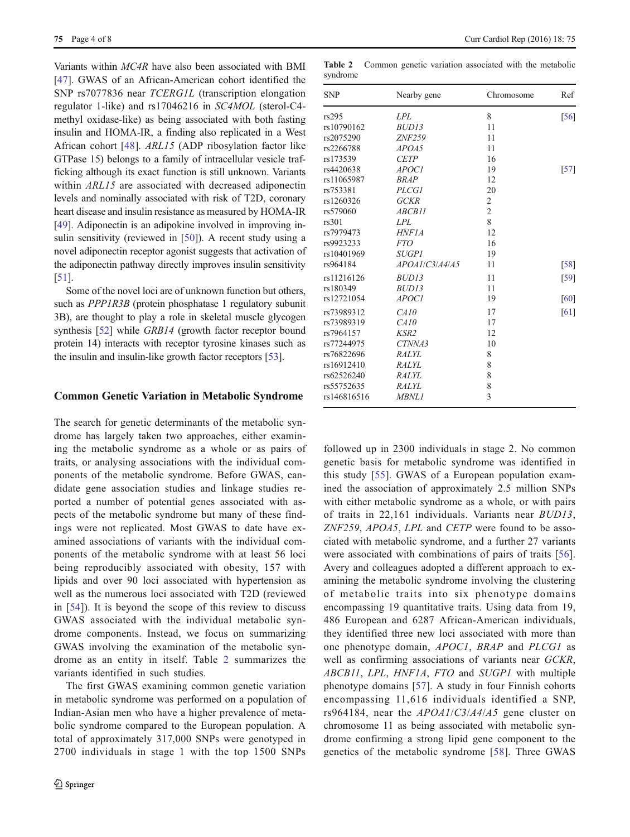Variants within MC4R have also been associated with BMI [\[47](#page-6-0)]. GWAS of an African-American cohort identified the SNP rs7077836 near TCERG1L (transcription elongation regulator 1-like) and rs17046216 in SC4MOL (sterol-C4 methyl oxidase-like) as being associated with both fasting insulin and HOMA-IR, a finding also replicated in a West African cohort [[48\]](#page-6-0). ARL15 (ADP ribosylation factor like GTPase 15) belongs to a family of intracellular vesicle trafficking although its exact function is still unknown. Variants within ARL15 are associated with decreased adiponectin levels and nominally associated with risk of T2D, coronary heart disease and insulin resistance as measured by HOMA-IR [\[49\]](#page-6-0). Adiponectin is an adipokine involved in improving in-sulin sensitivity (reviewed in [\[50](#page-7-0)]). A recent study using a novel adiponectin receptor agonist suggests that activation of the adiponectin pathway directly improves insulin sensitivity [\[51\]](#page-7-0).

Some of the novel loci are of unknown function but others, such as *PPP1R3B* (protein phosphatase 1 regulatory subunit 3B), are thought to play a role in skeletal muscle glycogen synthesis [[52](#page-7-0)] while *GRB14* (growth factor receptor bound protein 14) interacts with receptor tyrosine kinases such as the insulin and insulin-like growth factor receptors [[53](#page-7-0)].

#### Common Genetic Variation in Metabolic Syndrome

The search for genetic determinants of the metabolic syndrome has largely taken two approaches, either examining the metabolic syndrome as a whole or as pairs of traits, or analysing associations with the individual components of the metabolic syndrome. Before GWAS, candidate gene association studies and linkage studies reported a number of potential genes associated with aspects of the metabolic syndrome but many of these findings were not replicated. Most GWAS to date have examined associations of variants with the individual components of the metabolic syndrome with at least 56 loci being reproducibly associated with obesity, 157 with lipids and over 90 loci associated with hypertension as well as the numerous loci associated with T2D (reviewed in [[54](#page-7-0)]). It is beyond the scope of this review to discuss GWAS associated with the individual metabolic syndrome components. Instead, we focus on summarizing GWAS involving the examination of the metabolic syndrome as an entity in itself. Table 2 summarizes the variants identified in such studies.

The first GWAS examining common genetic variation in metabolic syndrome was performed on a population of Indian-Asian men who have a higher prevalence of metabolic syndrome compared to the European population. A total of approximately 317,000 SNPs were genotyped in 2700 individuals in stage 1 with the top 1500 SNPs

Table 2 Common genetic variation associated with the metabolic syndrome

| <b>SNP</b>  | Nearby gene    | Chromosome     | Ref    |
|-------------|----------------|----------------|--------|
| rs295       | LPL            | 8              | [56]   |
| rs10790162  | BUD13          | 11             |        |
| rs2075290   | ZNF259         | 11             |        |
| rs2266788   | APOA5          | 11             |        |
| rs173539    | <b>CETP</b>    | 16             |        |
| rs4420638   | <i>APOCI</i>   | 19             | $[57]$ |
| rs11065987  | <b>BRAP</b>    | 12             |        |
| rs753381    | <b>PLCG1</b>   | 20             |        |
| rs1260326   | <b>GCKR</b>    | $\mathfrak{2}$ |        |
| rs579060    | ABCB11         | $\overline{c}$ |        |
| rs301       | LPL            | 8              |        |
| rs7979473   | <b>HNF1A</b>   | 12             |        |
| rs9923233   | <i>FTO</i>     | 16             |        |
| rs10401969  | <i>SUGPI</i>   | 19             |        |
| rs964184    | APOA1/C3/A4/A5 | 11             | [58]   |
| rs11216126  | BUD13          | 11             | [59]   |
| rs180349    | BUD13          | 11             |        |
| rs12721054  | APOC1          | 19             | [60]   |
| rs73989312  | CA10           | 17             | [61]   |
| rs73989319  | CA10           | 17             |        |
| rs7964157   | KSR2           | 12             |        |
| rs77244975  | CTNNA3         | 10             |        |
| rs76822696  | <b>RALYL</b>   | 8              |        |
| rs16912410  | <b>RALYL</b>   | 8              |        |
| rs62526240  | RALYL          | 8              |        |
| rs55752635  | RALYL          | 8              |        |
| rs146816516 | <b>MBNL1</b>   | 3              |        |
|             |                |                |        |

followed up in 2300 individuals in stage 2. No common genetic basis for metabolic syndrome was identified in this study [\[55\]](#page-7-0). GWAS of a European population examined the association of approximately 2.5 million SNPs with either metabolic syndrome as a whole, or with pairs of traits in 22,161 individuals. Variants near BUD13, ZNF259, APOA5, LPL and CETP were found to be associated with metabolic syndrome, and a further 27 variants were associated with combinations of pairs of traits [\[56](#page-7-0)]. Avery and colleagues adopted a different approach to examining the metabolic syndrome involving the clustering of metabolic traits into six phenotype domains encompassing 19 quantitative traits. Using data from 19, 486 European and 6287 African-American individuals, they identified three new loci associated with more than one phenotype domain, APOC1, BRAP and PLCG1 as well as confirming associations of variants near GCKR, ABCB11, LPL, HNF1A, FTO and SUGP1 with multiple phenotype domains [[57](#page-7-0)]. A study in four Finnish cohorts encompassing 11,616 individuals identified a SNP, rs964184, near the APOA1/C3/A4/A5 gene cluster on chromosome 11 as being associated with metabolic syndrome confirming a strong lipid gene component to the genetics of the metabolic syndrome [[58](#page-7-0)]. Three GWAS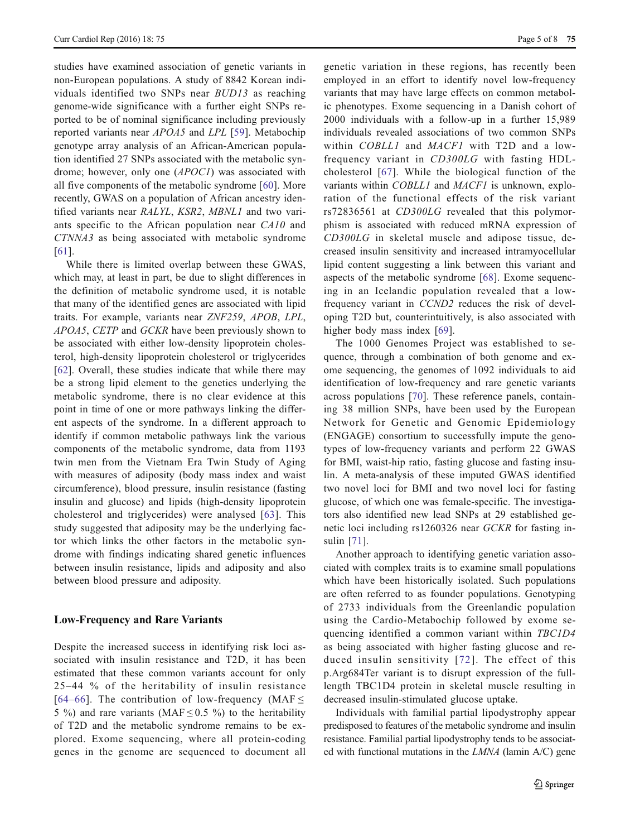studies have examined association of genetic variants in non-European populations. A study of 8842 Korean individuals identified two SNPs near BUD13 as reaching genome-wide significance with a further eight SNPs reported to be of nominal significance including previously reported variants near APOA5 and LPL [\[59](#page-7-0)]. Metabochip genotype array analysis of an African-American population identified 27 SNPs associated with the metabolic syndrome; however, only one (APOC1) was associated with all five components of the metabolic syndrome [[60\]](#page-7-0). More recently, GWAS on a population of African ancestry identified variants near RALYL, KSR2, MBNL1 and two variants specific to the African population near CA10 and CTNNA3 as being associated with metabolic syndrome [\[61\]](#page-7-0).

While there is limited overlap between these GWAS, which may, at least in part, be due to slight differences in the definition of metabolic syndrome used, it is notable that many of the identified genes are associated with lipid traits. For example, variants near ZNF259, APOB, LPL, APOA5, CETP and GCKR have been previously shown to be associated with either low-density lipoprotein cholesterol, high-density lipoprotein cholesterol or triglycerides [\[62\]](#page-7-0). Overall, these studies indicate that while there may be a strong lipid element to the genetics underlying the metabolic syndrome, there is no clear evidence at this point in time of one or more pathways linking the different aspects of the syndrome. In a different approach to identify if common metabolic pathways link the various components of the metabolic syndrome, data from 1193 twin men from the Vietnam Era Twin Study of Aging with measures of adiposity (body mass index and waist circumference), blood pressure, insulin resistance (fasting insulin and glucose) and lipids (high-density lipoprotein cholesterol and triglycerides) were analysed [[63](#page-7-0)]. This study suggested that adiposity may be the underlying factor which links the other factors in the metabolic syndrome with findings indicating shared genetic influences between insulin resistance, lipids and adiposity and also between blood pressure and adiposity.

#### Low-Frequency and Rare Variants

Despite the increased success in identifying risk loci associated with insulin resistance and T2D, it has been estimated that these common variants account for only 25–44 % of the heritability of insulin resistance [[64](#page-7-0)–[66](#page-7-0)]. The contribution of low-frequency (MAF $\leq$ 5 %) and rare variants (MAF  $\leq$  0.5 %) to the heritability of T2D and the metabolic syndrome remains to be explored. Exome sequencing, where all protein-coding genes in the genome are sequenced to document all genetic variation in these regions, has recently been employed in an effort to identify novel low-frequency variants that may have large effects on common metabolic phenotypes. Exome sequencing in a Danish cohort of 2000 individuals with a follow-up in a further 15,989 individuals revealed associations of two common SNPs within COBLL1 and MACF1 with T2D and a lowfrequency variant in CD300LG with fasting HDLcholesterol [[67](#page-7-0)]. While the biological function of the variants within COBLL1 and MACF1 is unknown, exploration of the functional effects of the risk variant rs72836561 at CD300LG revealed that this polymorphism is associated with reduced mRNA expression of CD300LG in skeletal muscle and adipose tissue, decreased insulin sensitivity and increased intramyocellular lipid content suggesting a link between this variant and aspects of the metabolic syndrome [[68\]](#page-7-0). Exome sequencing in an Icelandic population revealed that a lowfrequency variant in CCND2 reduces the risk of developing T2D but, counterintuitively, is also associated with higher body mass index [\[69\]](#page-7-0).

The 1000 Genomes Project was established to sequence, through a combination of both genome and exome sequencing, the genomes of 1092 individuals to aid identification of low-frequency and rare genetic variants across populations [[70\]](#page-7-0). These reference panels, containing 38 million SNPs, have been used by the European Network for Genetic and Genomic Epidemiology (ENGAGE) consortium to successfully impute the genotypes of low-frequency variants and perform 22 GWAS for BMI, waist-hip ratio, fasting glucose and fasting insulin. A meta-analysis of these imputed GWAS identified two novel loci for BMI and two novel loci for fasting glucose, of which one was female-specific. The investigators also identified new lead SNPs at 29 established genetic loci including rs1260326 near GCKR for fasting insulin [[71\]](#page-7-0).

Another approach to identifying genetic variation associated with complex traits is to examine small populations which have been historically isolated. Such populations are often referred to as founder populations. Genotyping of 2733 individuals from the Greenlandic population using the Cardio-Metabochip followed by exome sequencing identified a common variant within TBC1D4 as being associated with higher fasting glucose and reduced insulin sensitivity [[72\]](#page-7-0). The effect of this p.Arg684Ter variant is to disrupt expression of the fulllength TBC1D4 protein in skeletal muscle resulting in decreased insulin-stimulated glucose uptake.

Individuals with familial partial lipodystrophy appear predisposed to features of the metabolic syndrome and insulin resistance. Familial partial lipodystrophy tends to be associated with functional mutations in the LMNA (lamin A/C) gene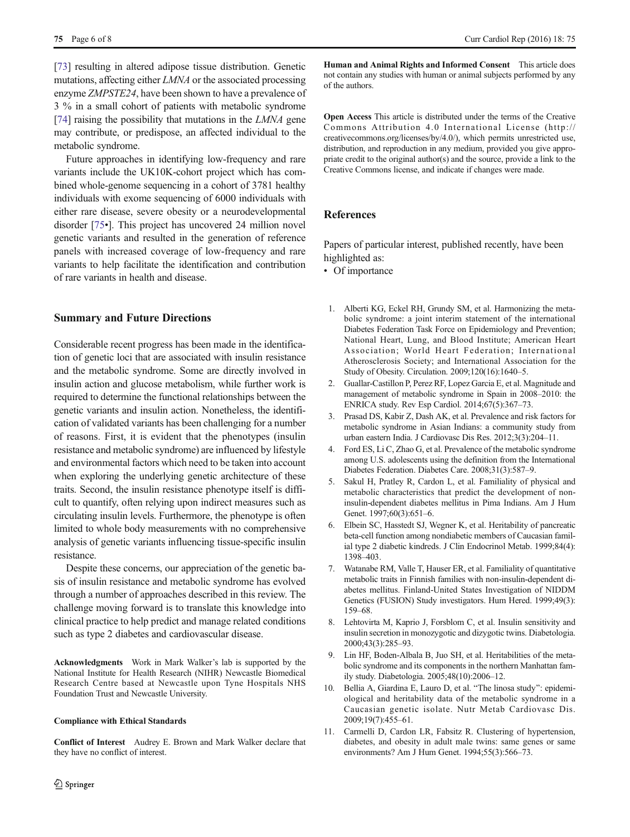<span id="page-5-0"></span>[\[73\]](#page-7-0) resulting in altered adipose tissue distribution. Genetic mutations, affecting either LMNA or the associated processing enzyme ZMPSTE24, have been shown to have a prevalence of 3 % in a small cohort of patients with metabolic syndrome [\[74\]](#page-7-0) raising the possibility that mutations in the *LMNA* gene may contribute, or predispose, an affected individual to the metabolic syndrome.

Future approaches in identifying low-frequency and rare variants include the UK10K-cohort project which has combined whole-genome sequencing in a cohort of 3781 healthy individuals with exome sequencing of 6000 individuals with either rare disease, severe obesity or a neurodevelopmental disorder [\[75](#page-7-0)•]. This project has uncovered 24 million novel genetic variants and resulted in the generation of reference panels with increased coverage of low-frequency and rare variants to help facilitate the identification and contribution of rare variants in health and disease.

### Summary and Future Directions

Considerable recent progress has been made in the identification of genetic loci that are associated with insulin resistance and the metabolic syndrome. Some are directly involved in insulin action and glucose metabolism, while further work is required to determine the functional relationships between the genetic variants and insulin action. Nonetheless, the identification of validated variants has been challenging for a number of reasons. First, it is evident that the phenotypes (insulin resistance and metabolic syndrome) are influenced by lifestyle and environmental factors which need to be taken into account when exploring the underlying genetic architecture of these traits. Second, the insulin resistance phenotype itself is difficult to quantify, often relying upon indirect measures such as circulating insulin levels. Furthermore, the phenotype is often limited to whole body measurements with no comprehensive analysis of genetic variants influencing tissue-specific insulin resistance.

Despite these concerns, our appreciation of the genetic basis of insulin resistance and metabolic syndrome has evolved through a number of approaches described in this review. The challenge moving forward is to translate this knowledge into clinical practice to help predict and manage related conditions such as type 2 diabetes and cardiovascular disease.

Acknowledgments Work in Mark Walker's lab is supported by the National Institute for Health Research (NIHR) Newcastle Biomedical Research Centre based at Newcastle upon Tyne Hospitals NHS Foundation Trust and Newcastle University.

#### Compliance with Ethical Standards

Conflict of Interest Audrey E. Brown and Mark Walker declare that they have no conflict of interest.

Human and Animal Rights and Informed Consent This article does not contain any studies with human or animal subjects performed by any of the authors.

Open Access This article is distributed under the terms of the Creative Commons Attribution 4.0 International License (http:// creativecommons.org/licenses/by/4.0/), which permits unrestricted use, distribution, and reproduction in any medium, provided you give appropriate credit to the original author(s) and the source, provide a link to the Creative Commons license, and indicate if changes were made.

# References

Papers of particular interest, published recently, have been highlighted as:

- Of importance
- 1. Alberti KG, Eckel RH, Grundy SM, et al. Harmonizing the metabolic syndrome: a joint interim statement of the international Diabetes Federation Task Force on Epidemiology and Prevention; National Heart, Lung, and Blood Institute; American Heart Association; World Heart Federation; International Atherosclerosis Society; and International Association for the Study of Obesity. Circulation. 2009;120(16):1640–5.
- 2. Guallar-Castillon P, Perez RF, Lopez Garcia E, et al. Magnitude and management of metabolic syndrome in Spain in 2008–2010: the ENRICA study. Rev Esp Cardiol. 2014;67(5):367–73.
- 3. Prasad DS, Kabir Z, Dash AK, et al. Prevalence and risk factors for metabolic syndrome in Asian Indians: a community study from urban eastern India. J Cardiovasc Dis Res. 2012;3(3):204–11.
- 4. Ford ES, Li C, Zhao G, et al. Prevalence of the metabolic syndrome among U.S. adolescents using the definition from the International Diabetes Federation. Diabetes Care. 2008;31(3):587–9.
- 5. Sakul H, Pratley R, Cardon L, et al. Familiality of physical and metabolic characteristics that predict the development of noninsulin-dependent diabetes mellitus in Pima Indians. Am J Hum Genet. 1997;60(3):651-6.
- 6. Elbein SC, Hasstedt SJ, Wegner K, et al. Heritability of pancreatic beta-cell function among nondiabetic members of Caucasian familial type 2 diabetic kindreds. J Clin Endocrinol Metab. 1999;84(4): 1398–403.
- 7. Watanabe RM, Valle T, Hauser ER, et al. Familiality of quantitative metabolic traits in Finnish families with non-insulin-dependent diabetes mellitus. Finland-United States Investigation of NIDDM Genetics (FUSION) Study investigators. Hum Hered. 1999;49(3): 159–68.
- 8. Lehtovirta M, Kaprio J, Forsblom C, et al. Insulin sensitivity and insulin secretion in monozygotic and dizygotic twins. Diabetologia. 2000;43(3):285–93.
- 9. Lin HF, Boden-Albala B, Juo SH, et al. Heritabilities of the metabolic syndrome and its components in the northern Manhattan family study. Diabetologia. 2005;48(10):2006–12.
- 10. Bellia A, Giardina E, Lauro D, et al. "The linosa study": epidemiological and heritability data of the metabolic syndrome in a Caucasian genetic isolate. Nutr Metab Cardiovasc Dis. 2009;19(7):455–61.
- 11. Carmelli D, Cardon LR, Fabsitz R. Clustering of hypertension, diabetes, and obesity in adult male twins: same genes or same environments? Am J Hum Genet. 1994;55(3):566–73.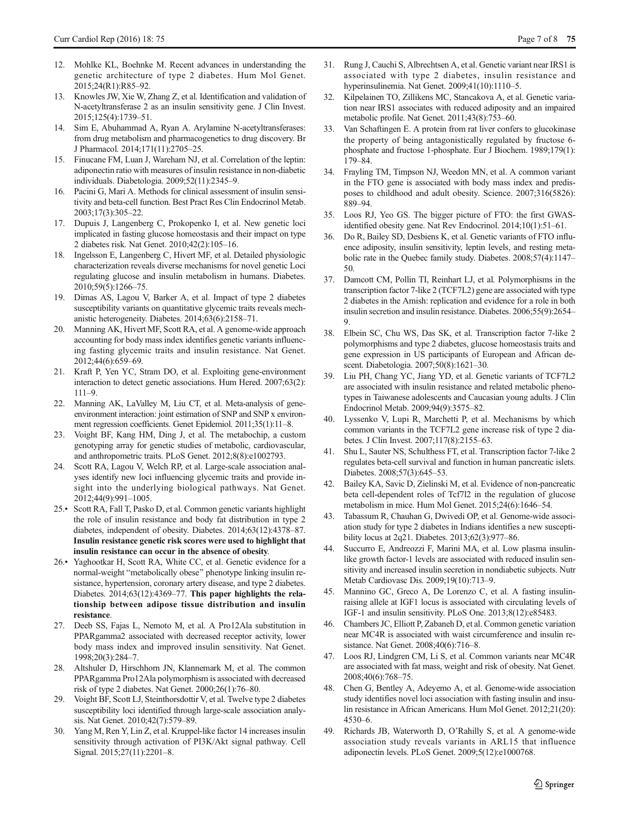- <span id="page-6-0"></span>12. Mohlke KL, Boehnke M. Recent advances in understanding the genetic architecture of type 2 diabetes. Hum Mol Genet. 2015;24(R1):R85–92.
- 13. Knowles JW, Xie W, Zhang Z, et al. Identification and validation of N-acetyltransferase 2 as an insulin sensitivity gene. J Clin Invest. 2015;125(4):1739–51.
- 14. Sim E, Abuhammad A, Ryan A. Arylamine N-acetyltransferases: from drug metabolism and pharmacogenetics to drug discovery. Br J Pharmacol. 2014;171(11):2705–25.
- 15. Finucane FM, Luan J, Wareham NJ, et al. Correlation of the leptin: adiponectin ratio with measures of insulin resistance in non-diabetic individuals. Diabetologia. 2009;52(11):2345–9.
- 16. Pacini G, Mari A. Methods for clinical assessment of insulin sensitivity and beta-cell function. Best Pract Res Clin Endocrinol Metab. 2003;17(3):305–22.
- 17. Dupuis J, Langenberg C, Prokopenko I, et al. New genetic loci implicated in fasting glucose homeostasis and their impact on type 2 diabetes risk. Nat Genet. 2010;42(2):105–16.
- 18. Ingelsson E, Langenberg C, Hivert MF, et al. Detailed physiologic characterization reveals diverse mechanisms for novel genetic Loci regulating glucose and insulin metabolism in humans. Diabetes. 2010;59(5):1266–75.
- 19. Dimas AS, Lagou V, Barker A, et al. Impact of type 2 diabetes susceptibility variants on quantitative glycemic traits reveals mechanistic heterogeneity. Diabetes. 2014;63(6):2158–71.
- 20. Manning AK, Hivert MF, Scott RA, et al. A genome-wide approach accounting for body mass index identifies genetic variants influencing fasting glycemic traits and insulin resistance. Nat Genet. 2012;44(6):659–69.
- 21. Kraft P, Yen YC, Stram DO, et al. Exploiting gene-environment interaction to detect genetic associations. Hum Hered. 2007;63(2): 111–9.
- 22. Manning AK, LaValley M, Liu CT, et al. Meta-analysis of geneenvironment interaction: joint estimation of SNP and SNP x environment regression coefficients. Genet Epidemiol. 2011;35(1):11–8.
- 23. Voight BF, Kang HM, Ding J, et al. The metabochip, a custom genotyping array for genetic studies of metabolic, cardiovascular, and anthropometric traits. PLoS Genet. 2012;8(8):e1002793.
- 24. Scott RA, Lagou V, Welch RP, et al. Large-scale association analyses identify new loci influencing glycemic traits and provide insight into the underlying biological pathways. Nat Genet. 2012;44(9):991–1005.
- 25.• Scott RA, Fall T, Pasko D, et al. Common genetic variants highlight the role of insulin resistance and body fat distribution in type 2 diabetes, independent of obesity. Diabetes. 2014;63(12):4378–87. Insulin resistance genetic risk scores were used to highlight that insulin resistance can occur in the absence of obesity.
- 26.• Yaghootkar H, Scott RA, White CC, et al. Genetic evidence for a normal-weight "metabolically obese" phenotype linking insulin resistance, hypertension, coronary artery disease, and type 2 diabetes. Diabetes. 2014;63(12):4369–77. This paper highlights the relationship between adipose tissue distribution and insulin resistance.
- 27. Deeb SS, Fajas L, Nemoto M, et al. A Pro12Ala substitution in PPARgamma2 associated with decreased receptor activity, lower body mass index and improved insulin sensitivity. Nat Genet. 1998;20(3):284–7.
- 28. Altshuler D, Hirschhorn JN, Klannemark M, et al. The common PPARgamma Pro12Ala polymorphism is associated with decreased risk of type 2 diabetes. Nat Genet. 2000;26(1):76–80.
- 29. Voight BF, Scott LJ, Steinthorsdottir V, et al. Twelve type 2 diabetes susceptibility loci identified through large-scale association analysis. Nat Genet. 2010;42(7):579–89.
- 30. Yang M, Ren Y, Lin Z, et al. Kruppel-like factor 14 increases insulin sensitivity through activation of PI3K/Akt signal pathway. Cell Signal. 2015;27(11):2201–8.
- 31. Rung J, Cauchi S, Albrechtsen A, et al. Genetic variant near IRS1 is associated with type 2 diabetes, insulin resistance and hyperinsulinemia. Nat Genet. 2009;41(10):1110–5.
- 32. Kilpelainen TO, Zillikens MC, Stancakova A, et al. Genetic variation near IRS1 associates with reduced adiposity and an impaired metabolic profile. Nat Genet. 2011;43(8):753–60.
- 33. Van Schaftingen E. A protein from rat liver confers to glucokinase the property of being antagonistically regulated by fructose 6 phosphate and fructose 1-phosphate. Eur J Biochem. 1989;179(1): 179–84.
- 34. Frayling TM, Timpson NJ, Weedon MN, et al. A common variant in the FTO gene is associated with body mass index and predisposes to childhood and adult obesity. Science. 2007;316(5826): 889–94.
- 35. Loos RJ, Yeo GS. The bigger picture of FTO: the first GWASidentified obesity gene. Nat Rev Endocrinol. 2014;10(1):51–61.
- 36. Do R, Bailey SD, Desbiens K, et al. Genetic variants of FTO influence adiposity, insulin sensitivity, leptin levels, and resting metabolic rate in the Quebec family study. Diabetes. 2008;57(4):1147– 50.
- 37. Damcott CM, Pollin TI, Reinhart LJ, et al. Polymorphisms in the transcription factor 7-like 2 (TCF7L2) gene are associated with type 2 diabetes in the Amish: replication and evidence for a role in both insulin secretion and insulin resistance. Diabetes. 2006;55(9):2654– 9.
- 38. Elbein SC, Chu WS, Das SK, et al. Transcription factor 7-like 2 polymorphisms and type 2 diabetes, glucose homeostasis traits and gene expression in US participants of European and African descent. Diabetologia. 2007;50(8):1621–30.
- Liu PH, Chang YC, Jiang YD, et al. Genetic variants of TCF7L2 are associated with insulin resistance and related metabolic phenotypes in Taiwanese adolescents and Caucasian young adults. J Clin Endocrinol Metab. 2009;94(9):3575–82.
- 40. Lyssenko V, Lupi R, Marchetti P, et al. Mechanisms by which common variants in the TCF7L2 gene increase risk of type 2 diabetes. J Clin Invest. 2007;117(8):2155–63.
- 41. Shu L, Sauter NS, Schulthess FT, et al. Transcription factor 7-like 2 regulates beta-cell survival and function in human pancreatic islets. Diabetes. 2008;57(3):645–53.
- 42. Bailey KA, Savic D, Zielinski M, et al. Evidence of non-pancreatic beta cell-dependent roles of Tcf7l2 in the regulation of glucose metabolism in mice. Hum Mol Genet. 2015;24(6):1646–54.
- 43. Tabassum R, Chauhan G, Dwivedi OP, et al. Genome-wide association study for type 2 diabetes in Indians identifies a new susceptibility locus at 2q21. Diabetes. 2013;62(3):977–86.
- 44. Succurro E, Andreozzi F, Marini MA, et al. Low plasma insulinlike growth factor-1 levels are associated with reduced insulin sensitivity and increased insulin secretion in nondiabetic subjects. Nutr Metab Cardiovasc Dis. 2009;19(10):713–9.
- 45. Mannino GC, Greco A, De Lorenzo C, et al. A fasting insulinraising allele at IGF1 locus is associated with circulating levels of IGF-1 and insulin sensitivity. PLoS One. 2013;8(12):e85483.
- 46. Chambers JC, Elliott P, Zabaneh D, et al. Common genetic variation near MC4R is associated with waist circumference and insulin resistance. Nat Genet. 2008;40(6):716–8.
- 47. Loos RJ, Lindgren CM, Li S, et al. Common variants near MC4R are associated with fat mass, weight and risk of obesity. Nat Genet. 2008;40(6):768–75.
- 48. Chen G, Bentley A, Adeyemo A, et al. Genome-wide association study identifies novel loci association with fasting insulin and insulin resistance in African Americans. Hum Mol Genet. 2012;21(20): 4530–6.
- 49. Richards JB, Waterworth D, O'Rahilly S, et al. A genome-wide association study reveals variants in ARL15 that influence adiponectin levels. PLoS Genet. 2009;5(12):e1000768.